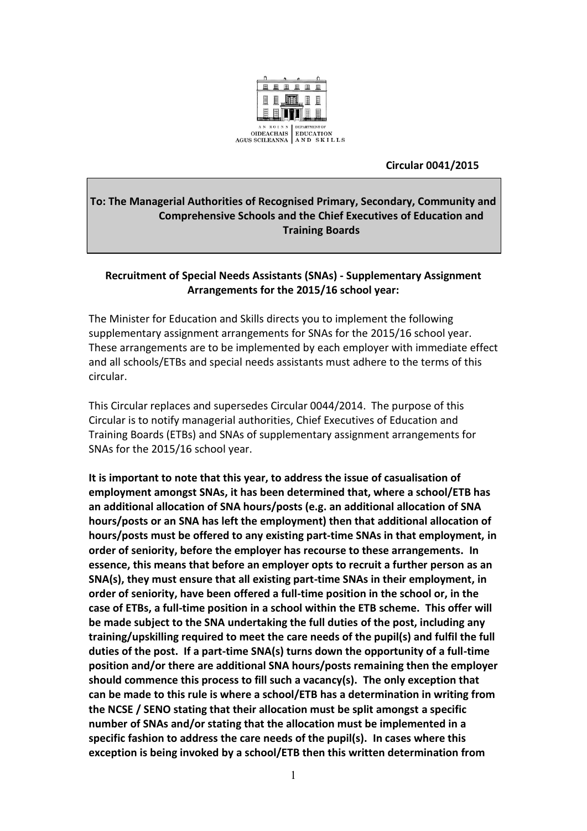

 **Circular 0041/2015**

# **To: The Managerial Authorities of Recognised Primary, Secondary, Community and Comprehensive Schools and the Chief Executives of Education and Training Boards**

# **Recruitment of Special Needs Assistants (SNAs) - Supplementary Assignment Arrangements for the 2015/16 school year:**

The Minister for Education and Skills directs you to implement the following supplementary assignment arrangements for SNAs for the 2015/16 school year. These arrangements are to be implemented by each employer with immediate effect and all schools/ETBs and special needs assistants must adhere to the terms of this circular.

This Circular replaces and supersedes Circular 0044/2014. The purpose of this Circular is to notify managerial authorities, Chief Executives of Education and Training Boards (ETBs) and SNAs of supplementary assignment arrangements for SNAs for the 2015/16 school year.

**It is important to note that this year, to address the issue of casualisation of employment amongst SNAs, it has been determined that, where a school/ETB has an additional allocation of SNA hours/posts (e.g. an additional allocation of SNA hours/posts or an SNA has left the employment) then that additional allocation of hours/posts must be offered to any existing part-time SNAs in that employment, in order of seniority, before the employer has recourse to these arrangements. In essence, this means that before an employer opts to recruit a further person as an SNA(s), they must ensure that all existing part-time SNAs in their employment, in order of seniority, have been offered a full-time position in the school or, in the case of ETBs, a full-time position in a school within the ETB scheme. This offer will be made subject to the SNA undertaking the full duties of the post, including any training/upskilling required to meet the care needs of the pupil(s) and fulfil the full duties of the post. If a part-time SNA(s) turns down the opportunity of a full-time position and/or there are additional SNA hours/posts remaining then the employer should commence this process to fill such a vacancy(s). The only exception that can be made to this rule is where a school/ETB has a determination in writing from the NCSE / SENO stating that their allocation must be split amongst a specific number of SNAs and/or stating that the allocation must be implemented in a specific fashion to address the care needs of the pupil(s). In cases where this exception is being invoked by a school/ETB then this written determination from**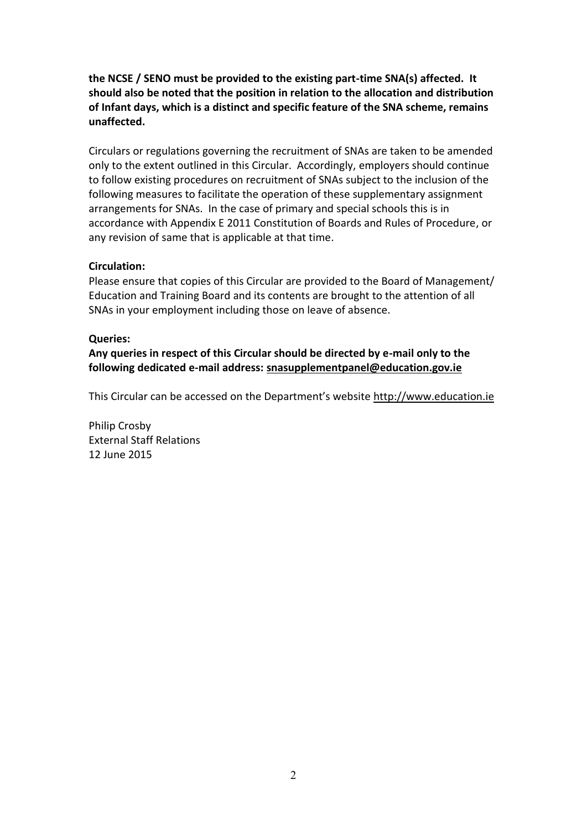**the NCSE / SENO must be provided to the existing part-time SNA(s) affected. It should also be noted that the position in relation to the allocation and distribution of Infant days, which is a distinct and specific feature of the SNA scheme, remains unaffected.**

Circulars or regulations governing the recruitment of SNAs are taken to be amended only to the extent outlined in this Circular. Accordingly, employers should continue to follow existing procedures on recruitment of SNAs subject to the inclusion of the following measures to facilitate the operation of these supplementary assignment arrangements for SNAs. In the case of primary and special schools this is in accordance with Appendix E 2011 Constitution of Boards and Rules of Procedure, or any revision of same that is applicable at that time.

#### **Circulation:**

Please ensure that copies of this Circular are provided to the Board of Management/ Education and Training Board and its contents are brought to the attention of all SNAs in your employment including those on leave of absence.

#### **Queries:**

**Any queries in respect of this Circular should be directed by e-mail only to the following dedicated e-mail address: [snasupplementpanel@education.gov.ie](mailto:snasupplementpanel@education.gov.ie)**

This Circular can be accessed on the Department's website [http://www.education.ie](http://www.education.ie/)

Philip Crosby External Staff Relations 12 June 2015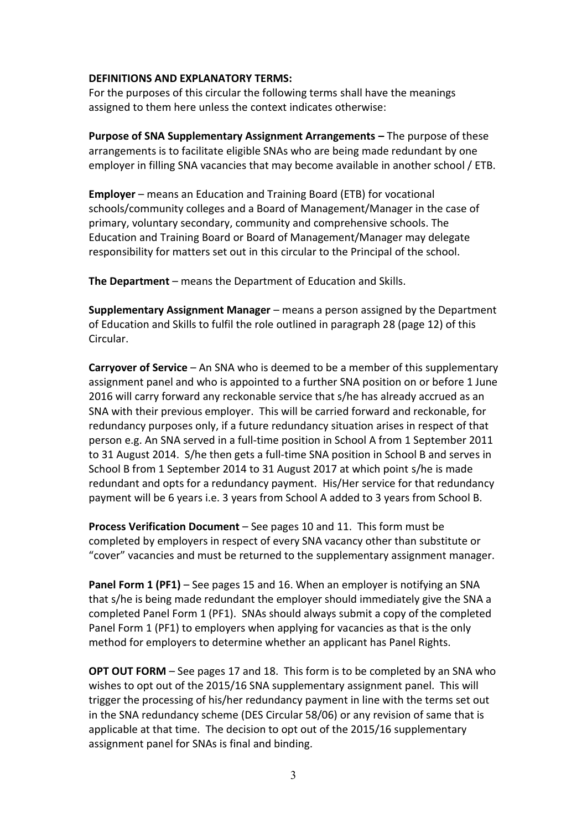## **DEFINITIONS AND EXPLANATORY TERMS:**

For the purposes of this circular the following terms shall have the meanings assigned to them here unless the context indicates otherwise:

**Purpose of SNA Supplementary Assignment Arrangements –** The purpose of these arrangements is to facilitate eligible SNAs who are being made redundant by one employer in filling SNA vacancies that may become available in another school / ETB.

**Employer** – means an Education and Training Board (ETB) for vocational schools/community colleges and a Board of Management/Manager in the case of primary, voluntary secondary, community and comprehensive schools. The Education and Training Board or Board of Management/Manager may delegate responsibility for matters set out in this circular to the Principal of the school.

**The Department** – means the Department of Education and Skills.

**Supplementary Assignment Manager** – means a person assigned by the Department of Education and Skills to fulfil the role outlined in paragraph 28 (page 12) of this Circular.

**Carryover of Service** – An SNA who is deemed to be a member of this supplementary assignment panel and who is appointed to a further SNA position on or before 1 June 2016 will carry forward any reckonable service that s/he has already accrued as an SNA with their previous employer. This will be carried forward and reckonable, for redundancy purposes only, if a future redundancy situation arises in respect of that person e.g. An SNA served in a full-time position in School A from 1 September 2011 to 31 August 2014. S/he then gets a full-time SNA position in School B and serves in School B from 1 September 2014 to 31 August 2017 at which point s/he is made redundant and opts for a redundancy payment. His/Her service for that redundancy payment will be 6 years i.e. 3 years from School A added to 3 years from School B.

**Process Verification Document** – See pages 10 and 11.This form must be completed by employers in respect of every SNA vacancy other than substitute or "cover" vacancies and must be returned to the supplementary assignment manager.

**Panel Form 1 (PF1)** – See pages 15 and 16. When an employer is notifying an SNA that s/he is being made redundant the employer should immediately give the SNA a completed Panel Form 1 (PF1). SNAs should always submit a copy of the completed Panel Form 1 (PF1) to employers when applying for vacancies as that is the only method for employers to determine whether an applicant has Panel Rights.

**OPT OUT FORM** – See pages 17 and 18. This form is to be completed by an SNA who wishes to opt out of the 2015/16 SNA supplementary assignment panel. This will trigger the processing of his/her redundancy payment in line with the terms set out in the SNA redundancy scheme (DES Circular 58/06) or any revision of same that is applicable at that time. The decision to opt out of the 2015/16 supplementary assignment panel for SNAs is final and binding.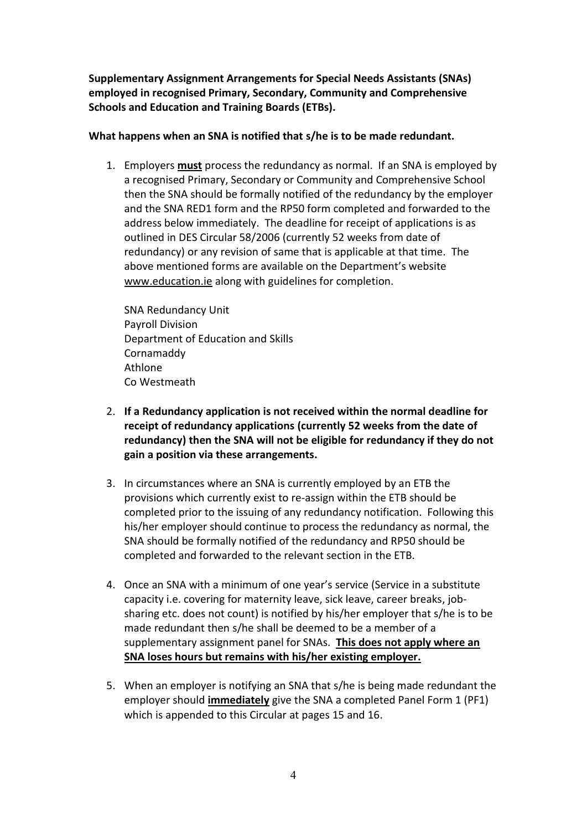**Supplementary Assignment Arrangements for Special Needs Assistants (SNAs) employed in recognised Primary, Secondary, Community and Comprehensive Schools and Education and Training Boards (ETBs).**

# **What happens when an SNA is notified that s/he is to be made redundant.**

1. Employers **must** process the redundancy as normal. If an SNA is employed by a recognised Primary, Secondary or Community and Comprehensive School then the SNA should be formally notified of the redundancy by the employer and the SNA RED1 form and the RP50 form completed and forwarded to the address below immediately. The deadline for receipt of applications is as outlined in DES Circular 58/2006 (currently 52 weeks from date of redundancy) or any revision of same that is applicable at that time. The above mentioned forms are available on the Department's website [www.education.ie](http://www.education.ie/) along with guidelines for completion.

SNA Redundancy Unit Payroll Division Department of Education and Skills Cornamaddy Athlone Co Westmeath

- 2. **If a Redundancy application is not received within the normal deadline for receipt of redundancy applications (currently 52 weeks from the date of redundancy) then the SNA will not be eligible for redundancy if they do not gain a position via these arrangements.**
- 3. In circumstances where an SNA is currently employed by an ETB the provisions which currently exist to re-assign within the ETB should be completed prior to the issuing of any redundancy notification. Following this his/her employer should continue to process the redundancy as normal, the SNA should be formally notified of the redundancy and RP50 should be completed and forwarded to the relevant section in the ETB.
- 4. Once an SNA with a minimum of one year's service (Service in a substitute capacity i.e. covering for maternity leave, sick leave, career breaks, jobsharing etc. does not count) is notified by his/her employer that s/he is to be made redundant then s/he shall be deemed to be a member of a supplementary assignment panel for SNAs. **This does not apply where an SNA loses hours but remains with his/her existing employer.**
- 5. When an employer is notifying an SNA that s/he is being made redundant the employer should **immediately** give the SNA a completed Panel Form 1 (PF1) which is appended to this Circular at pages 15 and 16.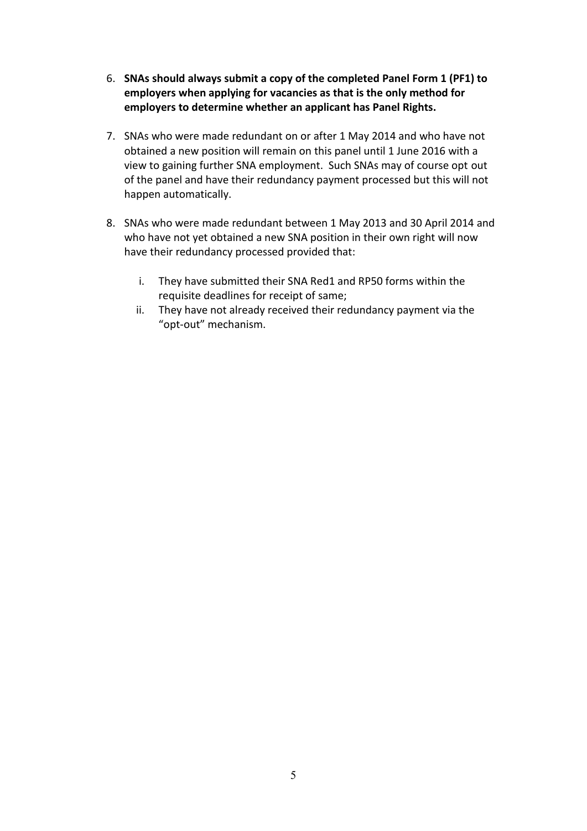- 6. **SNAs should always submit a copy of the completed Panel Form 1 (PF1) to employers when applying for vacancies as that is the only method for employers to determine whether an applicant has Panel Rights.**
- 7. SNAs who were made redundant on or after 1 May 2014 and who have not obtained a new position will remain on this panel until 1 June 2016 with a view to gaining further SNA employment. Such SNAs may of course opt out of the panel and have their redundancy payment processed but this will not happen automatically.
- 8. SNAs who were made redundant between 1 May 2013 and 30 April 2014 and who have not yet obtained a new SNA position in their own right will now have their redundancy processed provided that:
	- i. They have submitted their SNA Red1 and RP50 forms within the requisite deadlines for receipt of same;
	- ii. They have not already received their redundancy payment via the "opt-out" mechanism.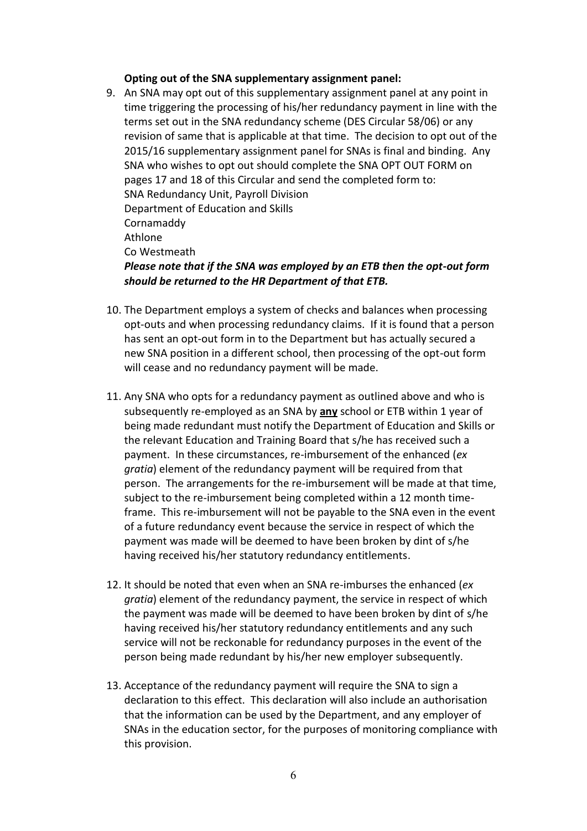#### **Opting out of the SNA supplementary assignment panel:**

- 9. An SNA may opt out of this supplementary assignment panel at any point in time triggering the processing of his/her redundancy payment in line with the terms set out in the SNA redundancy scheme (DES Circular 58/06) or any revision of same that is applicable at that time. The decision to opt out of the 2015/16 supplementary assignment panel for SNAs is final and binding. Any SNA who wishes to opt out should complete the SNA OPT OUT FORM on pages 17 and 18 of this Circular and send the completed form to: SNA Redundancy Unit, Payroll Division Department of Education and Skills Cornamaddy Athlone Co Westmeath *Please note that if the SNA was employed by an ETB then the opt-out form should be returned to the HR Department of that ETB.*
- 10. The Department employs a system of checks and balances when processing opt-outs and when processing redundancy claims. If it is found that a person has sent an opt-out form in to the Department but has actually secured a new SNA position in a different school, then processing of the opt-out form will cease and no redundancy payment will be made.
- 11. Any SNA who opts for a redundancy payment as outlined above and who is subsequently re-employed as an SNA by **any** school or ETB within 1 year of being made redundant must notify the Department of Education and Skills or the relevant Education and Training Board that s/he has received such a payment. In these circumstances, re-imbursement of the enhanced (*ex gratia*) element of the redundancy payment will be required from that person. The arrangements for the re-imbursement will be made at that time, subject to the re-imbursement being completed within a 12 month timeframe. This re-imbursement will not be payable to the SNA even in the event of a future redundancy event because the service in respect of which the payment was made will be deemed to have been broken by dint of s/he having received his/her statutory redundancy entitlements.
- 12. It should be noted that even when an SNA re-imburses the enhanced (*ex gratia*) element of the redundancy payment, the service in respect of which the payment was made will be deemed to have been broken by dint of s/he having received his/her statutory redundancy entitlements and any such service will not be reckonable for redundancy purposes in the event of the person being made redundant by his/her new employer subsequently.
- 13. Acceptance of the redundancy payment will require the SNA to sign a declaration to this effect. This declaration will also include an authorisation that the information can be used by the Department, and any employer of SNAs in the education sector, for the purposes of monitoring compliance with this provision.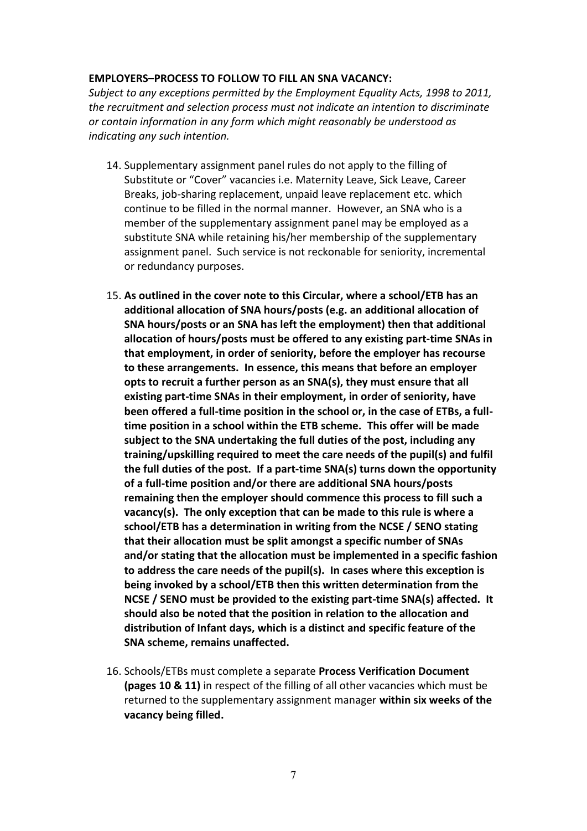## **EMPLOYERS–PROCESS TO FOLLOW TO FILL AN SNA VACANCY:**

*Subject to any exceptions permitted by the Employment Equality Acts, 1998 to 2011, the recruitment and selection process must not indicate an intention to discriminate or contain information in any form which might reasonably be understood as indicating any such intention.*

- 14. Supplementary assignment panel rules do not apply to the filling of Substitute or "Cover" vacancies i.e. Maternity Leave, Sick Leave, Career Breaks, job-sharing replacement, unpaid leave replacement etc. which continue to be filled in the normal manner. However, an SNA who is a member of the supplementary assignment panel may be employed as a substitute SNA while retaining his/her membership of the supplementary assignment panel. Such service is not reckonable for seniority, incremental or redundancy purposes.
- 15. **As outlined in the cover note to this Circular, where a school/ETB has an additional allocation of SNA hours/posts (e.g. an additional allocation of SNA hours/posts or an SNA has left the employment) then that additional allocation of hours/posts must be offered to any existing part-time SNAs in that employment, in order of seniority, before the employer has recourse to these arrangements. In essence, this means that before an employer opts to recruit a further person as an SNA(s), they must ensure that all existing part-time SNAs in their employment, in order of seniority, have been offered a full-time position in the school or, in the case of ETBs, a fulltime position in a school within the ETB scheme. This offer will be made subject to the SNA undertaking the full duties of the post, including any training/upskilling required to meet the care needs of the pupil(s) and fulfil the full duties of the post. If a part-time SNA(s) turns down the opportunity of a full-time position and/or there are additional SNA hours/posts remaining then the employer should commence this process to fill such a vacancy(s). The only exception that can be made to this rule is where a school/ETB has a determination in writing from the NCSE / SENO stating that their allocation must be split amongst a specific number of SNAs and/or stating that the allocation must be implemented in a specific fashion to address the care needs of the pupil(s). In cases where this exception is being invoked by a school/ETB then this written determination from the NCSE / SENO must be provided to the existing part-time SNA(s) affected. It should also be noted that the position in relation to the allocation and distribution of Infant days, which is a distinct and specific feature of the SNA scheme, remains unaffected.**
- 16. Schools/ETBs must complete a separate **Process Verification Document (pages 10 & 11)** in respect of the filling of all other vacancies which must be returned to the supplementary assignment manager **within six weeks of the vacancy being filled.**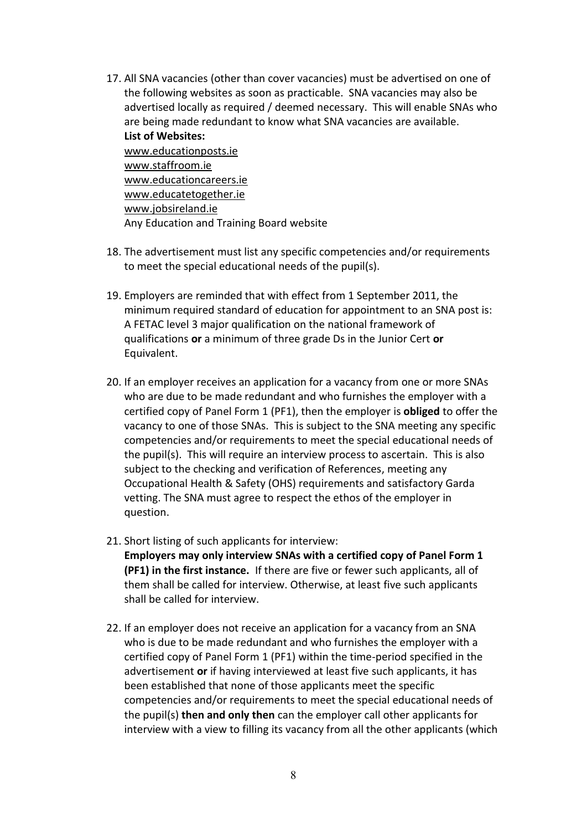- 17. All SNA vacancies (other than cover vacancies) must be advertised on one of the following websites as soon as practicable. SNA vacancies may also be advertised locally as required / deemed necessary. This will enable SNAs who are being made redundant to know what SNA vacancies are available. **List of Websites:** [www.educationposts.ie](http://www.educationposts.ie/) [www.staffroom.ie](http://www.staffroom.ie/) [www.educationcareers.ie](http://www.educationcareers.ie/) [www.educatetogether.ie](http://www.educatetogether.ie/) [www.jobsireland.ie](http://www.jobsireland.ie/) Any Education and Training Board website
- 18. The advertisement must list any specific competencies and/or requirements to meet the special educational needs of the pupil(s).
- 19. Employers are reminded that with effect from 1 September 2011, the minimum required standard of education for appointment to an SNA post is: A FETAC level 3 major qualification on the national framework of qualifications **or** a minimum of three grade Ds in the Junior Cert **or** Equivalent.
- 20. If an employer receives an application for a vacancy from one or more SNAs who are due to be made redundant and who furnishes the employer with a certified copy of Panel Form 1 (PF1), then the employer is **obliged** to offer the vacancy to one of those SNAs. This is subject to the SNA meeting any specific competencies and/or requirements to meet the special educational needs of the pupil(s). This will require an interview process to ascertain. This is also subject to the checking and verification of References, meeting any Occupational Health & Safety (OHS) requirements and satisfactory Garda vetting. The SNA must agree to respect the ethos of the employer in question.
- 21. Short listing of such applicants for interview: **Employers may only interview SNAs with a certified copy of Panel Form 1 (PF1) in the first instance.** If there are five or fewer such applicants, all of them shall be called for interview. Otherwise, at least five such applicants shall be called for interview.
- 22. If an employer does not receive an application for a vacancy from an SNA who is due to be made redundant and who furnishes the employer with a certified copy of Panel Form 1 (PF1) within the time-period specified in the advertisement **or** if having interviewed at least five such applicants, it has been established that none of those applicants meet the specific competencies and/or requirements to meet the special educational needs of the pupil(s) **then and only then** can the employer call other applicants for interview with a view to filling its vacancy from all the other applicants (which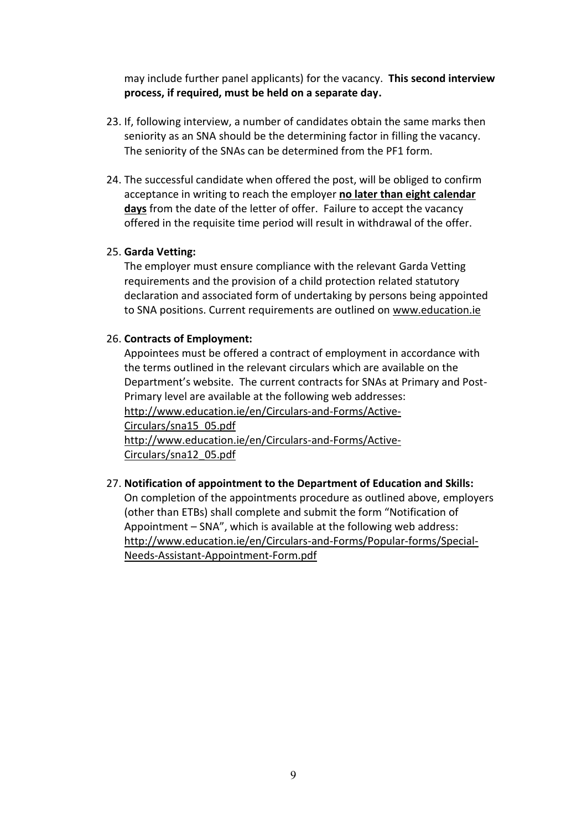may include further panel applicants) for the vacancy. **This second interview process, if required, must be held on a separate day.**

- 23. If, following interview, a number of candidates obtain the same marks then seniority as an SNA should be the determining factor in filling the vacancy. The seniority of the SNAs can be determined from the PF1 form.
- 24. The successful candidate when offered the post, will be obliged to confirm acceptance in writing to reach the employer **no later than eight calendar days** from the date of the letter of offer. Failure to accept the vacancy offered in the requisite time period will result in withdrawal of the offer.

## 25. **Garda Vetting:**

The employer must ensure compliance with the relevant Garda Vetting requirements and the provision of a child protection related statutory declaration and associated form of undertaking by persons being appointed to SNA positions. Current requirements are outlined on [www.education.ie](http://www.education.ie/)

#### 26. **Contracts of Employment:**

Appointees must be offered a contract of employment in accordance with the terms outlined in the relevant circulars which are available on the Department's website. The current contracts for SNAs at Primary and Post-Primary level are available at the following web addresses: [http://www.education.ie/en/Circulars-and-Forms/Active-](http://www.education.ie/en/Circulars-and-Forms/Active-Circulars/sna15_05.pdf)[Circulars/sna15\\_05.pdf](http://www.education.ie/en/Circulars-and-Forms/Active-Circulars/sna15_05.pdf) [http://www.education.ie/en/Circulars-and-Forms/Active-](http://www.education.ie/en/Circulars-and-Forms/Active-Circulars/sna12_05.pdf)[Circulars/sna12\\_05.pdf](http://www.education.ie/en/Circulars-and-Forms/Active-Circulars/sna12_05.pdf)

## 27. **Notification of appointment to the Department of Education and Skills:**

On completion of the appointments procedure as outlined above, employers (other than ETBs) shall complete and submit the form "Notification of Appointment – SNA", which is available at the following web address: [http://www.education.ie/en/Circulars-and-Forms/Popular-forms/Special-](http://www.education.ie/en/Circulars-and-Forms/Popular-forms/Special-Needs-Assistant-Appointment-Form.pdf)[Needs-Assistant-Appointment-Form.pdf](http://www.education.ie/en/Circulars-and-Forms/Popular-forms/Special-Needs-Assistant-Appointment-Form.pdf)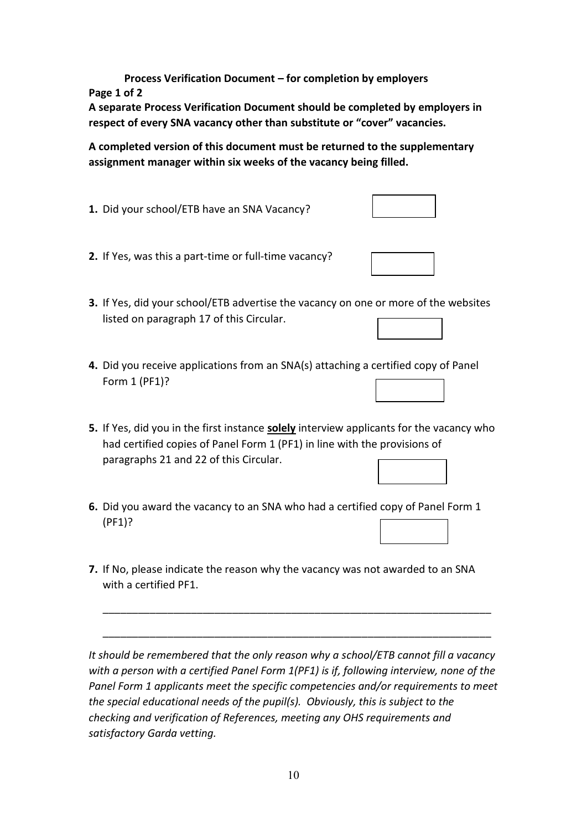**Process Verification Document – for completion by employers Page 1 of 2**

**A separate Process Verification Document should be completed by employers in respect of every SNA vacancy other than substitute or "cover" vacancies.**

**A completed version of this document must be returned to the supplementary assignment manager within six weeks of the vacancy being filled.**

- **1.** Did your school/ETB have an SNA Vacancy?
- **2.** If Yes, was this a part-time or full-time vacancy?
- **3.** If Yes, did your school/ETB advertise the vacancy on one or more of the websites listed on paragraph 17 of this Circular.
- **4.** Did you receive applications from an SNA(s) attaching a certified copy of Panel Form 1 (PF1)?
- **5.** If Yes, did you in the first instance **solely** interview applicants for the vacancy who had certified copies of Panel Form 1 (PF1) in line with the provisions of paragraphs 21 and 22 of this Circular.
- **6.** Did you award the vacancy to an SNA who had a certified copy of Panel Form 1 (PF1)?
- **7.** If No, please indicate the reason why the vacancy was not awarded to an SNA with a certified PF1.

*It should be remembered that the only reason why a school/ETB cannot fill a vacancy with a person with a certified Panel Form 1(PF1) is if, following interview, none of the Panel Form 1 applicants meet the specific competencies and/or requirements to meet the special educational needs of the pupil(s). Obviously, this is subject to the checking and verification of References, meeting any OHS requirements and satisfactory Garda vetting.*

\_\_\_\_\_\_\_\_\_\_\_\_\_\_\_\_\_\_\_\_\_\_\_\_\_\_\_\_\_\_\_\_\_\_\_\_\_\_\_\_\_\_\_\_\_\_\_\_\_\_\_\_\_\_\_\_\_\_\_\_\_\_\_\_\_\_

\_\_\_\_\_\_\_\_\_\_\_\_\_\_\_\_\_\_\_\_\_\_\_\_\_\_\_\_\_\_\_\_\_\_\_\_\_\_\_\_\_\_\_\_\_\_\_\_\_\_\_\_\_\_\_\_\_\_\_\_\_\_\_\_\_\_

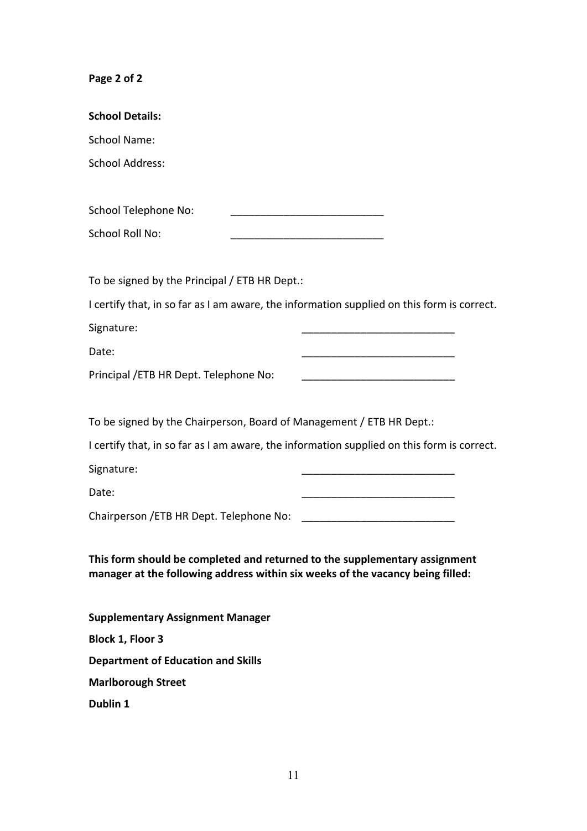# **Page 2 of 2**

| <b>School Details:</b>                                                                                                                                       |
|--------------------------------------------------------------------------------------------------------------------------------------------------------------|
| <b>School Name:</b>                                                                                                                                          |
| <b>School Address:</b>                                                                                                                                       |
|                                                                                                                                                              |
| School Telephone No:                                                                                                                                         |
| School Roll No:                                                                                                                                              |
|                                                                                                                                                              |
| To be signed by the Principal / ETB HR Dept.:                                                                                                                |
| I certify that, in so far as I am aware, the information supplied on this form is correct.                                                                   |
| Signature:                                                                                                                                                   |
| Date:                                                                                                                                                        |
| Principal / ETB HR Dept. Telephone No:                                                                                                                       |
|                                                                                                                                                              |
| To be signed by the Chairperson, Board of Management / ETB HR Dept.:                                                                                         |
| I certify that, in so far as I am aware, the information supplied on this form is correct.                                                                   |
| Signature:                                                                                                                                                   |
| Date:                                                                                                                                                        |
| Chairperson / ETB HR Dept. Telephone No:                                                                                                                     |
|                                                                                                                                                              |
| This form should be completed and returned to the supplementary assignment<br>manager at the following address within six weeks of the vacancy being filled: |
|                                                                                                                                                              |
| <b>Supplementary Assignment Manager</b>                                                                                                                      |
| Block 1, Floor 3                                                                                                                                             |
| <b>Department of Education and Skills</b>                                                                                                                    |
| <b>Marlborough Street</b>                                                                                                                                    |
| Dublin 1                                                                                                                                                     |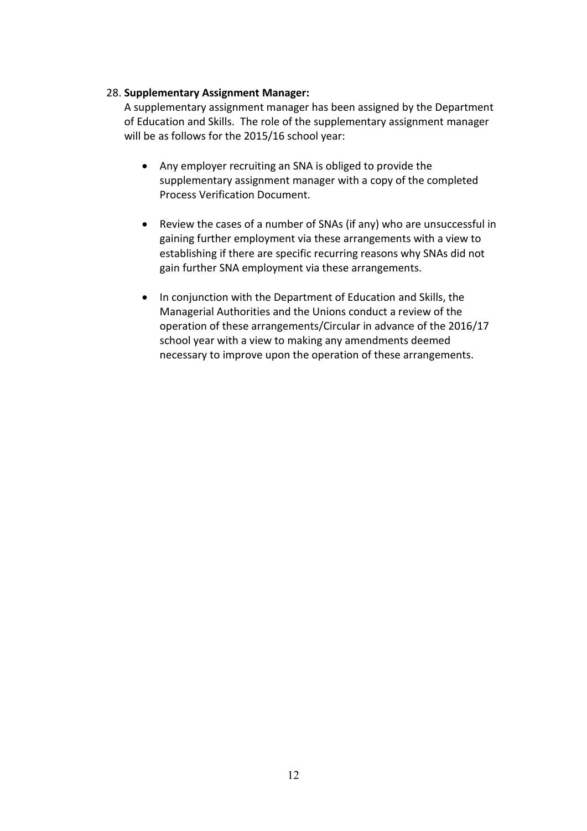# 28. **Supplementary Assignment Manager:**

A supplementary assignment manager has been assigned by the Department of Education and Skills. The role of the supplementary assignment manager will be as follows for the 2015/16 school year:

- Any employer recruiting an SNA is obliged to provide the supplementary assignment manager with a copy of the completed Process Verification Document.
- Review the cases of a number of SNAs (if any) who are unsuccessful in gaining further employment via these arrangements with a view to establishing if there are specific recurring reasons why SNAs did not gain further SNA employment via these arrangements.
- In conjunction with the Department of Education and Skills, the Managerial Authorities and the Unions conduct a review of the operation of these arrangements/Circular in advance of the 2016/17 school year with a view to making any amendments deemed necessary to improve upon the operation of these arrangements.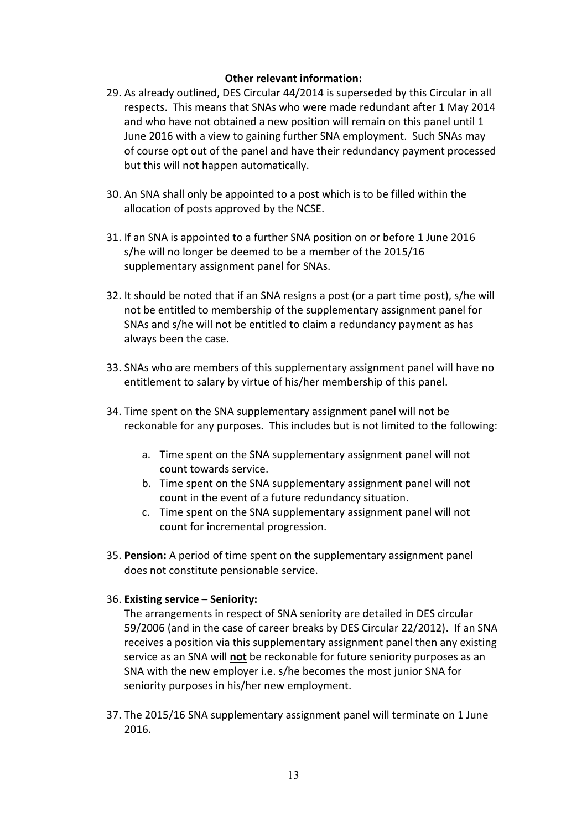## **Other relevant information:**

- 29. As already outlined, DES Circular 44/2014 is superseded by this Circular in all respects. This means that SNAs who were made redundant after 1 May 2014 and who have not obtained a new position will remain on this panel until 1 June 2016 with a view to gaining further SNA employment. Such SNAs may of course opt out of the panel and have their redundancy payment processed but this will not happen automatically.
- 30. An SNA shall only be appointed to a post which is to be filled within the allocation of posts approved by the NCSE.
- 31. If an SNA is appointed to a further SNA position on or before 1 June 2016 s/he will no longer be deemed to be a member of the 2015/16 supplementary assignment panel for SNAs.
- 32. It should be noted that if an SNA resigns a post (or a part time post), s/he will not be entitled to membership of the supplementary assignment panel for SNAs and s/he will not be entitled to claim a redundancy payment as has always been the case.
- 33. SNAs who are members of this supplementary assignment panel will have no entitlement to salary by virtue of his/her membership of this panel.
- 34. Time spent on the SNA supplementary assignment panel will not be reckonable for any purposes. This includes but is not limited to the following:
	- a. Time spent on the SNA supplementary assignment panel will not count towards service.
	- b. Time spent on the SNA supplementary assignment panel will not count in the event of a future redundancy situation.
	- c. Time spent on the SNA supplementary assignment panel will not count for incremental progression.
- 35. **Pension:** A period of time spent on the supplementary assignment panel does not constitute pensionable service.

## 36. **Existing service – Seniority:**

The arrangements in respect of SNA seniority are detailed in DES circular 59/2006 (and in the case of career breaks by DES Circular 22/2012). If an SNA receives a position via this supplementary assignment panel then any existing service as an SNA will **not** be reckonable for future seniority purposes as an SNA with the new employer i.e. s/he becomes the most junior SNA for seniority purposes in his/her new employment.

37. The 2015/16 SNA supplementary assignment panel will terminate on 1 June 2016.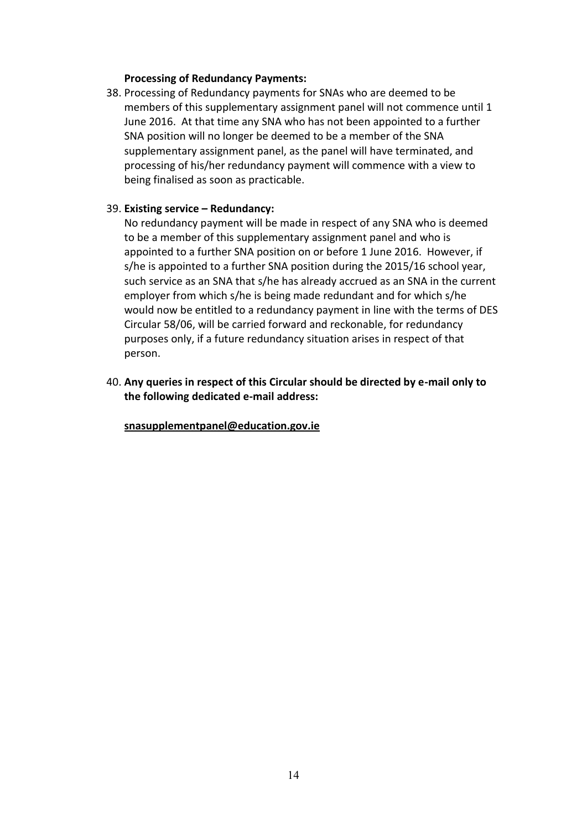#### **Processing of Redundancy Payments:**

38. Processing of Redundancy payments for SNAs who are deemed to be members of this supplementary assignment panel will not commence until 1 June 2016. At that time any SNA who has not been appointed to a further SNA position will no longer be deemed to be a member of the SNA supplementary assignment panel, as the panel will have terminated, and processing of his/her redundancy payment will commence with a view to being finalised as soon as practicable.

#### 39. **Existing service – Redundancy:**

No redundancy payment will be made in respect of any SNA who is deemed to be a member of this supplementary assignment panel and who is appointed to a further SNA position on or before 1 June 2016. However, if s/he is appointed to a further SNA position during the 2015/16 school year, such service as an SNA that s/he has already accrued as an SNA in the current employer from which s/he is being made redundant and for which s/he would now be entitled to a redundancy payment in line with the terms of DES Circular 58/06, will be carried forward and reckonable, for redundancy purposes only, if a future redundancy situation arises in respect of that person.

40. **Any queries in respect of this Circular should be directed by e-mail only to the following dedicated e-mail address:**

**[snasupplementpanel@education.gov.ie](mailto:snasupplementpanel@education.gov.ie)**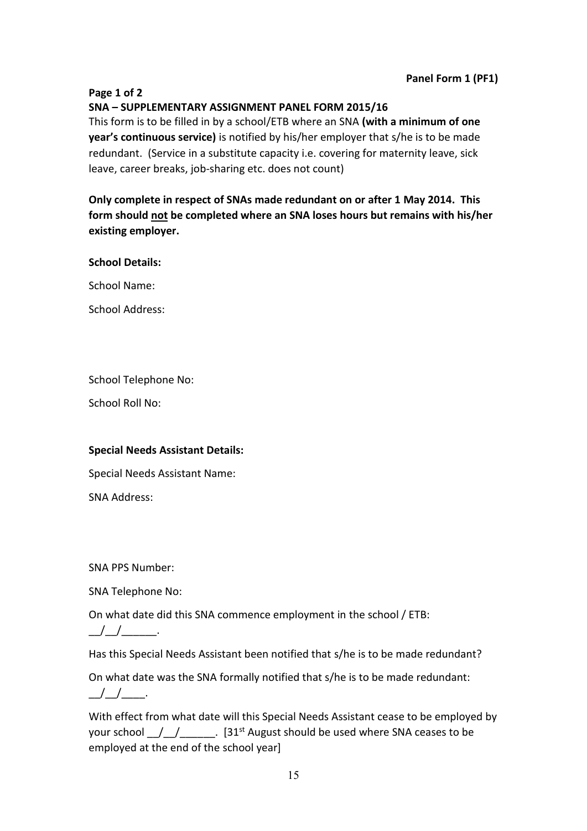#### **Page 1 of 2**

# **SNA – SUPPLEMENTARY ASSIGNMENT PANEL FORM 2015/16**

This form is to be filled in by a school/ETB where an SNA **(with a minimum of one year's continuous service)** is notified by his/her employer that s/he is to be made redundant. (Service in a substitute capacity i.e. covering for maternity leave, sick leave, career breaks, job-sharing etc. does not count)

**Only complete in respect of SNAs made redundant on or after 1 May 2014. This form should not be completed where an SNA loses hours but remains with his/her existing employer.** 

**School Details:** 

School Name:

School Address:

School Telephone No:

School Roll No:

## **Special Needs Assistant Details:**

Special Needs Assistant Name:

SNA Address:

SNA PPS Number:

SNA Telephone No:

On what date did this SNA commence employment in the school / ETB:

 $\frac{1}{2}$   $\frac{1}{2}$   $\frac{1}{2}$   $\frac{1}{2}$   $\frac{1}{2}$ 

Has this Special Needs Assistant been notified that s/he is to be made redundant?

On what date was the SNA formally notified that s/he is to be made redundant: \_\_/\_\_/\_\_\_\_.

With effect from what date will this Special Needs Assistant cease to be employed by your school  $\frac{1}{2}$   $\frac{1}{2}$   $\frac{1}{2}$   $\frac{1}{2}$ . [31<sup>st</sup> August should be used where SNA ceases to be employed at the end of the school year]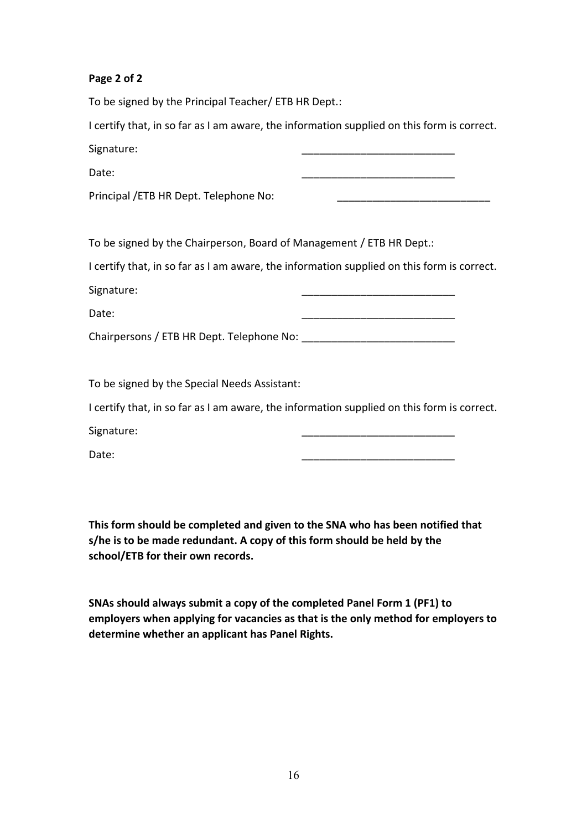# **Page 2 of 2**

To be signed by the Principal Teacher/ ETB HR Dept.:

I certify that, in so far as I am aware, the information supplied on this form is correct. Signature:

Date: \_\_\_\_\_\_\_\_\_\_\_\_\_\_\_\_\_\_\_\_\_\_\_\_\_\_

| Principal / ETB HR Dept. Telephone No: |  |
|----------------------------------------|--|
|----------------------------------------|--|

To be signed by the Chairperson, Board of Management / ETB HR Dept.:

I certify that, in so far as I am aware, the information supplied on this form is correct. Signature:

Date: \_\_\_\_\_\_\_\_\_\_\_\_\_\_\_\_\_\_\_\_\_\_\_\_\_\_

Chairpersons / ETB HR Dept. Telephone No:

To be signed by the Special Needs Assistant:

I certify that, in so far as I am aware, the information supplied on this form is correct. Signature:

Date: \_\_\_\_\_\_\_\_\_\_\_\_\_\_\_\_\_\_\_\_\_\_\_\_\_\_

**This form should be completed and given to the SNA who has been notified that s/he is to be made redundant. A copy of this form should be held by the school/ETB for their own records.**

**SNAs should always submit a copy of the completed Panel Form 1 (PF1) to employers when applying for vacancies as that is the only method for employers to determine whether an applicant has Panel Rights.**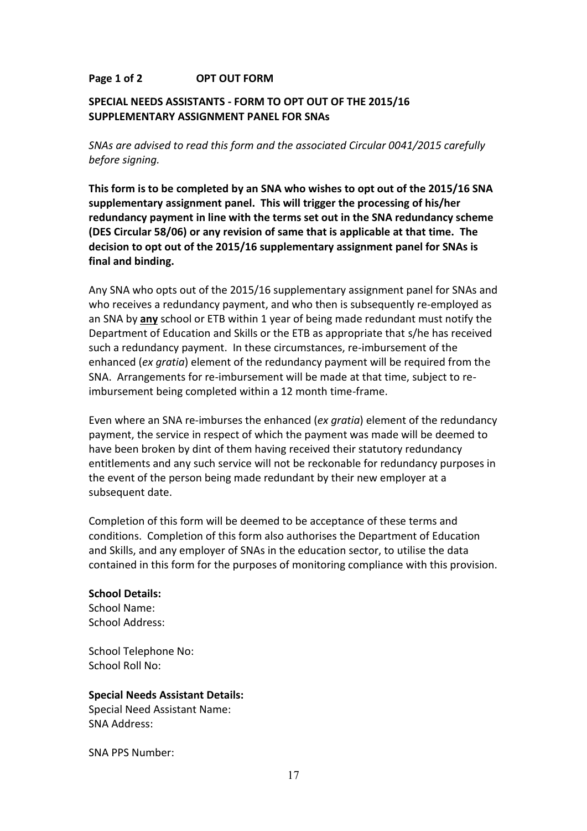## **Page 1 of 2 OPT OUT FORM**

## **SPECIAL NEEDS ASSISTANTS - FORM TO OPT OUT OF THE 2015/16 SUPPLEMENTARY ASSIGNMENT PANEL FOR SNAs**

*SNAs are advised to read this form and the associated Circular 0041/2015 carefully before signing.* 

**This form is to be completed by an SNA who wishes to opt out of the 2015/16 SNA supplementary assignment panel. This will trigger the processing of his/her redundancy payment in line with the terms set out in the SNA redundancy scheme (DES Circular 58/06) or any revision of same that is applicable at that time. The decision to opt out of the 2015/16 supplementary assignment panel for SNAs is final and binding.** 

Any SNA who opts out of the 2015/16 supplementary assignment panel for SNAs and who receives a redundancy payment, and who then is subsequently re-employed as an SNA by **any** school or ETB within 1 year of being made redundant must notify the Department of Education and Skills or the ETB as appropriate that s/he has received such a redundancy payment. In these circumstances, re-imbursement of the enhanced (*ex gratia*) element of the redundancy payment will be required from the SNA. Arrangements for re-imbursement will be made at that time, subject to reimbursement being completed within a 12 month time-frame.

Even where an SNA re-imburses the enhanced (*ex gratia*) element of the redundancy payment, the service in respect of which the payment was made will be deemed to have been broken by dint of them having received their statutory redundancy entitlements and any such service will not be reckonable for redundancy purposes in the event of the person being made redundant by their new employer at a subsequent date.

Completion of this form will be deemed to be acceptance of these terms and conditions. Completion of this form also authorises the Department of Education and Skills, and any employer of SNAs in the education sector, to utilise the data contained in this form for the purposes of monitoring compliance with this provision.

#### **School Details:**

School Name: School Address:

School Telephone No: School Roll No:

#### **Special Needs Assistant Details:**

Special Need Assistant Name: SNA Address:

SNA PPS Number: